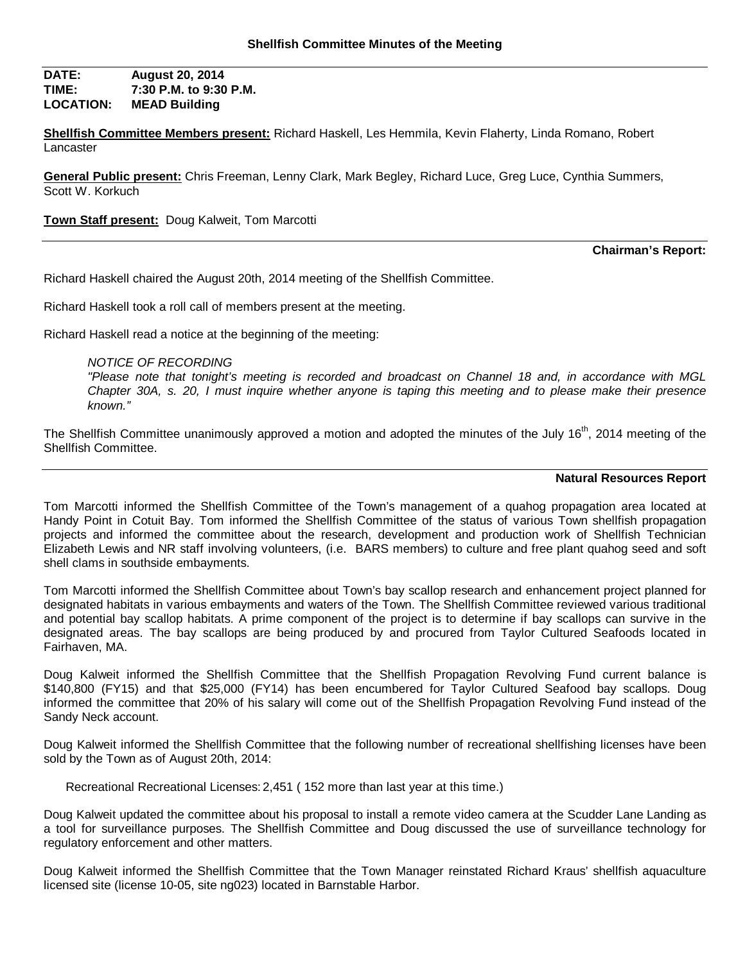**DATE: August 20, 2014 TIME: 7:30 P.M. to 9:30 P.M. LOCATION: MEAD Building**

**Shellfish Committee Members present:** Richard Haskell, Les Hemmila, Kevin Flaherty, Linda Romano, Robert Lancaster

**General Public present:** Chris Freeman, Lenny Clark, Mark Begley, Richard Luce, Greg Luce, Cynthia Summers, Scott W. Korkuch

**Town Staff present:** Doug Kalweit, Tom Marcotti

**Chairman's Report:**

Richard Haskell chaired the August 20th, 2014 meeting of the Shellfish Committee.

Richard Haskell took a roll call of members present at the meeting.

Richard Haskell read a notice at the beginning of the meeting:

*NOTICE OF RECORDING*

*"Please note that tonight's meeting is recorded and broadcast on Channel 18 and, in accordance with MGL Chapter 30A, s. 20, I must inquire whether anyone is taping this meeting and to please make their presence known."*

The Shellfish Committee unanimously approved a motion and adopted the minutes of the July 16<sup>th</sup>, 2014 meeting of the Shellfish Committee.

### **Natural Resources Report**

Tom Marcotti informed the Shellfish Committee of the Town's management of a quahog propagation area located at Handy Point in Cotuit Bay. Tom informed the Shellfish Committee of the status of various Town shellfish propagation projects and informed the committee about the research, development and production work of Shellfish Technician Elizabeth Lewis and NR staff involving volunteers, (i.e. BARS members) to culture and free plant quahog seed and soft shell clams in southside embayments.

Tom Marcotti informed the Shellfish Committee about Town's bay scallop research and enhancement project planned for designated habitats in various embayments and waters of the Town. The Shellfish Committee reviewed various traditional and potential bay scallop habitats. A prime component of the project is to determine if bay scallops can survive in the designated areas. The bay scallops are being produced by and procured from Taylor Cultured Seafoods located in Fairhaven, MA.

Doug Kalweit informed the Shellfish Committee that the Shellfish Propagation Revolving Fund current balance is \$140,800 (FY15) and that \$25,000 (FY14) has been encumbered for Taylor Cultured Seafood bay scallops. Doug informed the committee that 20% of his salary will come out of the Shellfish Propagation Revolving Fund instead of the Sandy Neck account.

Doug Kalweit informed the Shellfish Committee that the following number of recreational shellfishing licenses have been sold by the Town as of August 20th, 2014:

Recreational Recreational Licenses: 2,451 ( 152 more than last year at this time.)

Doug Kalweit updated the committee about his proposal to install a remote video camera at the Scudder Lane Landing as a tool for surveillance purposes. The Shellfish Committee and Doug discussed the use of surveillance technology for regulatory enforcement and other matters.

Doug Kalweit informed the Shellfish Committee that the Town Manager reinstated Richard Kraus' shellfish aquaculture licensed site (license 10-05, site ng023) located in Barnstable Harbor.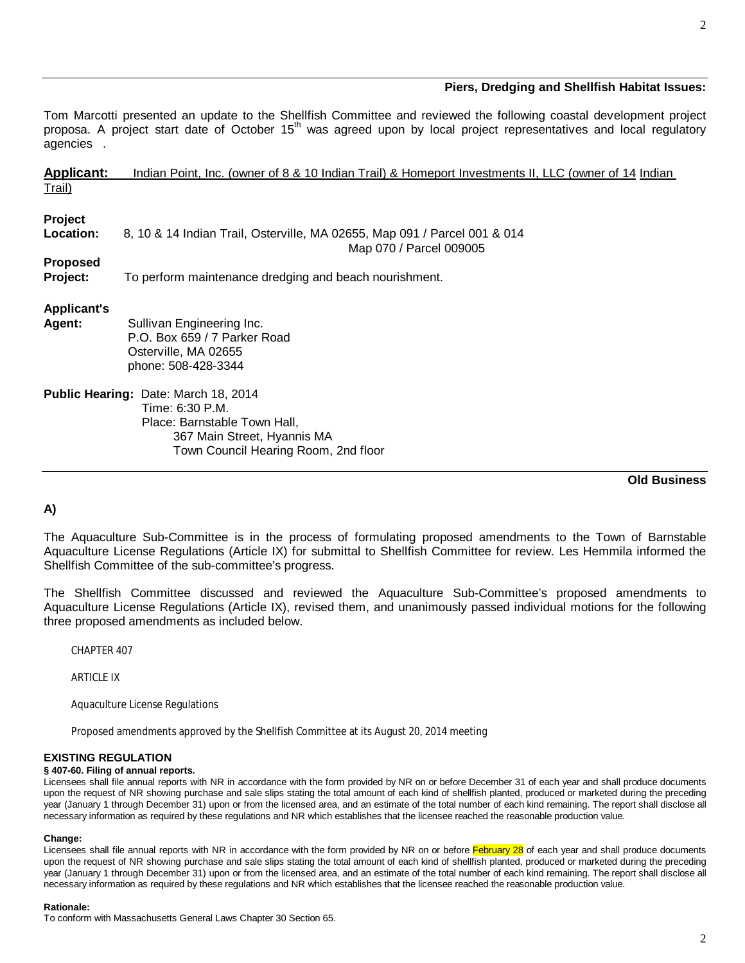# **Piers, Dredging and Shellfish Habitat Issues:**

Tom Marcotti presented an update to the Shellfish Committee and reviewed the following coastal development project proposa. A project start date of October 15<sup>th</sup> was agreed upon by local project representatives and local regulatory agencies .

|                                     | <b>Old Business</b>                                                                                  |  |
|-------------------------------------|------------------------------------------------------------------------------------------------------|--|
|                                     | Town Council Hearing Room, 2nd floor                                                                 |  |
|                                     | 367 Main Street, Hyannis MA                                                                          |  |
|                                     | Place: Barnstable Town Hall,                                                                         |  |
|                                     | Time: 6:30 P.M.                                                                                      |  |
|                                     | Public Hearing: Date: March 18, 2014                                                                 |  |
|                                     | phone: 508-428-3344                                                                                  |  |
|                                     | Osterville, MA 02655                                                                                 |  |
|                                     | P.O. Box 659 / 7 Parker Road                                                                         |  |
| <b>Applicant's</b><br><b>Agent:</b> | Sullivan Engineering Inc.                                                                            |  |
|                                     |                                                                                                      |  |
| Project:                            | To perform maintenance dredging and beach nourishment.                                               |  |
| <b>Proposed</b>                     |                                                                                                      |  |
|                                     | Map 070 / Parcel 009005                                                                              |  |
| Location:                           | 8, 10 & 14 Indian Trail, Osterville, MA 02655, Map 091 / Parcel 001 & 014                            |  |
| Project                             |                                                                                                      |  |
|                                     |                                                                                                      |  |
| Trail)                              |                                                                                                      |  |
| <b>Applicant:</b>                   | Indian Point, Inc. (owner of 8 & 10 Indian Trail) & Homeport Investments II, LLC (owner of 14 Indian |  |

# **A)**

The Aquaculture Sub-Committee is in the process of formulating proposed amendments to the Town of Barnstable Aquaculture License Regulations (Article IX) for submittal to Shellfish Committee for review. Les Hemmila informed the Shellfish Committee of the sub-committee's progress.

The Shellfish Committee discussed and reviewed the Aquaculture Sub-Committee's proposed amendments to Aquaculture License Regulations (Article IX), revised them, and unanimously passed individual motions for the following three proposed amendments as included below.

CHAPTER 407

ARTICLE IX

Aquaculture License Regulations

Proposed amendments approved by the Shellfish Committee at its August 20, 2014 meeting

## **EXISTING REGULATION**

#### **§ 407-60. Filing of annual reports.**

Licensees shall file annual reports with NR in accordance with the form provided by NR on or before December 31 of each year and shall produce documents upon the request of NR showing purchase and sale slips stating the total amount of each kind of shellfish planted, produced or marketed during the preceding year (January 1 through December 31) upon or from the licensed area, and an estimate of the total number of each kind remaining. The report shall disclose all necessary information as required by these regulations and NR which establishes that the licensee reached the reasonable production value.

### **Change:**

Licensees shall file annual reports with NR in accordance with the form provided by NR on or before February 28 of each year and shall produce documents upon the request of NR showing purchase and sale slips stating the total amount of each kind of shellfish planted, produced or marketed during the preceding year (January 1 through December 31) upon or from the licensed area, and an estimate of the total number of each kind remaining. The report shall disclose all necessary information as required by these regulations and NR which establishes that the licensee reached the reasonable production value.

#### **Rationale:**

To conform with Massachusetts General Laws Chapter 30 Section 65.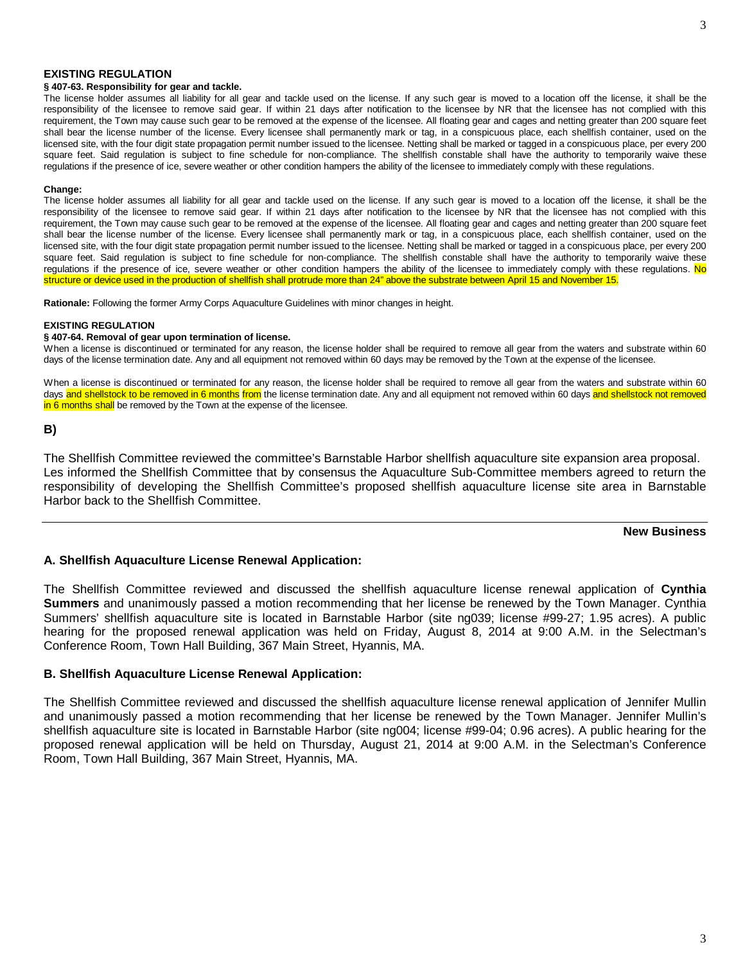### **EXISTING REGULATION**

### **§ 407-63. Responsibility for gear and tackle.**

The license holder assumes all liability for all gear and tackle used on the license. If any such gear is moved to a location off the license, it shall be the responsibility of the licensee to remove said gear. If within 21 days after notification to the licensee by NR that the licensee has not complied with this requirement, the Town may cause such gear to be removed at the expense of the licensee. All floating gear and cages and netting greater than 200 square feet shall bear the license number of the license. Every licensee shall permanently mark or tag, in a conspicuous place, each shellfish container, used on the licensed site, with the four digit state propagation permit number issued to the licensee. Netting shall be marked or tagged in a conspicuous place, per every 200 square feet. Said regulation is subject to fine schedule for non-compliance. The shellfish constable shall have the authority to temporarily waive these regulations if the presence of ice, severe weather or other condition hampers the ability of the licensee to immediately comply with these regulations.

#### **Change:**

The license holder assumes all liability for all gear and tackle used on the license. If any such gear is moved to a location off the license, it shall be the responsibility of the licensee to remove said gear. If within 21 days after notification to the licensee by NR that the licensee has not complied with this requirement, the Town may cause such gear to be removed at the expense of the licensee. All floating gear and cages and netting greater than 200 square feet shall bear the license number of the license. Every licensee shall permanently mark or tag, in a conspicuous place, each shellfish container, used on the licensed site, with the four digit state propagation permit number issued to the licensee. Netting shall be marked or tagged in a conspicuous place, per every 200 square feet. Said regulation is subject to fine schedule for non-compliance. The shellfish constable shall have the authority to temporarily waive these regulations if the presence of ice, severe weather or other condition hampers the ability of the licensee to immediately comply with these regulations. No structure or device used in the production of shellfish shall protrude more than 24" above the substrate between April 15 and November 15.

**Rationale:** Following the former Army Corps Aquaculture Guidelines with minor changes in height.

#### **EXISTING REGULATION**

#### **§ 407-64. Removal of gear upon termination of license.**

When a license is discontinued or terminated for any reason, the license holder shall be required to remove all gear from the waters and substrate within 60 days of the license termination date. Any and all equipment not removed within 60 days may be removed by the Town at the expense of the licensee.

When a license is discontinued or terminated for any reason, the license holder shall be required to remove all gear from the waters and substrate within 60 days and shellstock to be removed in 6 months from the license termination date. Any and all equipment not removed within 60 days and shellstock not removed in 6 months shall be removed by the Town at the expense of the licensee.

**B)**

The Shellfish Committee reviewed the committee's Barnstable Harbor shellfish aquaculture site expansion area proposal. Les informed the Shellfish Committee that by consensus the Aquaculture Sub-Committee members agreed to return the responsibility of developing the Shellfish Committee's proposed shellfish aquaculture license site area in Barnstable Harbor back to the Shellfish Committee.

## **New Business**

## **A. Shellfish Aquaculture License Renewal Application:**

The Shellfish Committee reviewed and discussed the shellfish aquaculture license renewal application of **Cynthia Summers** and unanimously passed a motion recommending that her license be renewed by the Town Manager. Cynthia Summers' shellfish aquaculture site is located in Barnstable Harbor (site ng039; license #99-27; 1.95 acres). A public hearing for the proposed renewal application was held on Friday, August 8, 2014 at 9:00 A.M. in the Selectman's Conference Room, Town Hall Building, 367 Main Street, Hyannis, MA.

### **B. Shellfish Aquaculture License Renewal Application:**

The Shellfish Committee reviewed and discussed the shellfish aquaculture license renewal application of Jennifer Mullin and unanimously passed a motion recommending that her license be renewed by the Town Manager. Jennifer Mullin's shellfish aquaculture site is located in Barnstable Harbor (site ng004; license #99-04; 0.96 acres). A public hearing for the proposed renewal application will be held on Thursday, August 21, 2014 at 9:00 A.M. in the Selectman's Conference Room, Town Hall Building, 367 Main Street, Hyannis, MA.